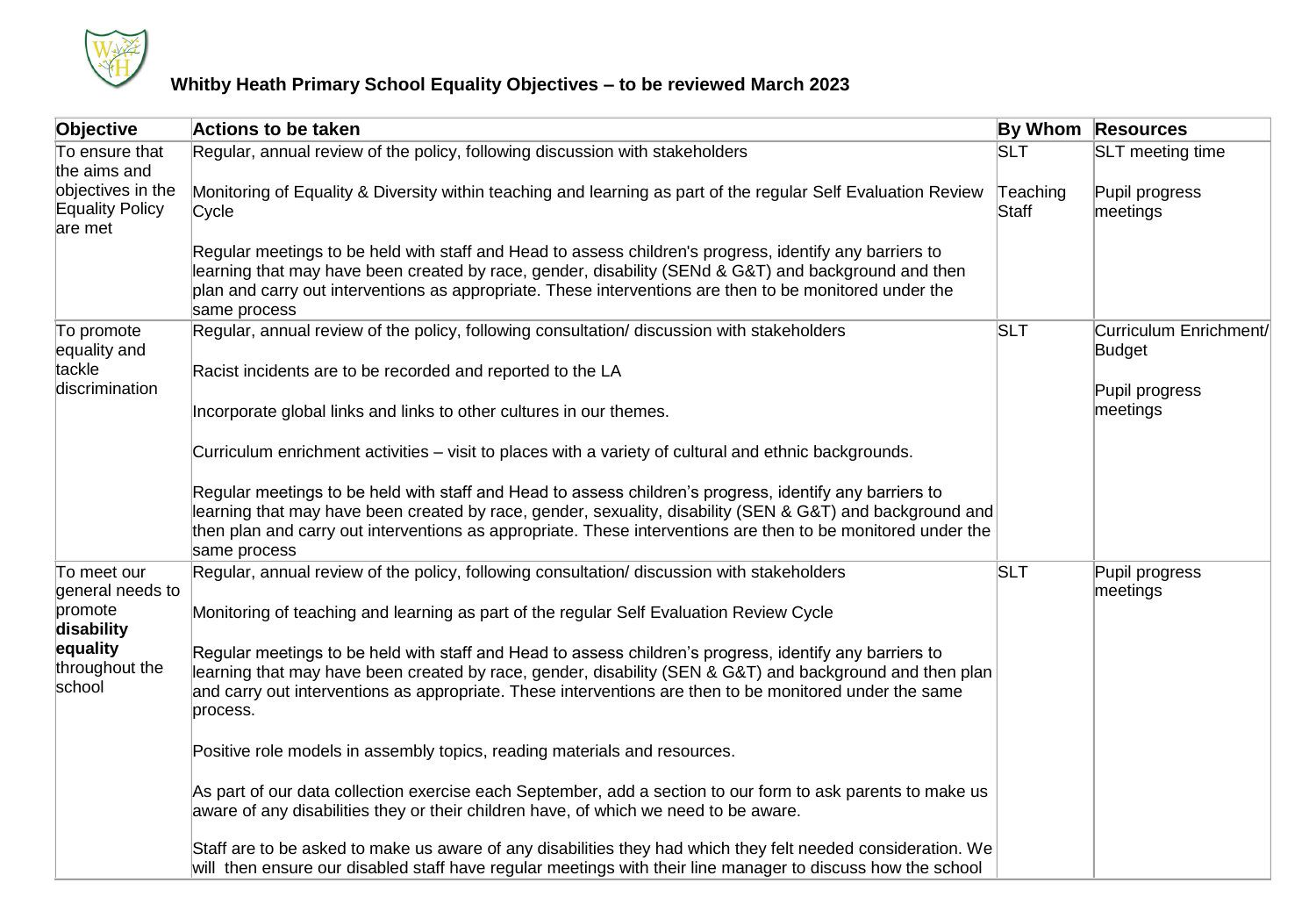

## **Whitby Heath Primary School Equality Objectives – to be reviewed March 2023**

| Objective                                              | <b>Actions to be taken</b>                                                                                                                                                                                                                                                                                                                           |                   | <b>By Whom Resources</b>         |
|--------------------------------------------------------|------------------------------------------------------------------------------------------------------------------------------------------------------------------------------------------------------------------------------------------------------------------------------------------------------------------------------------------------------|-------------------|----------------------------------|
| To ensure that<br>the aims and                         | Regular, annual review of the policy, following discussion with stakeholders                                                                                                                                                                                                                                                                         | <b>SLT</b>        | <b>SLT</b> meeting time          |
| objectives in the<br><b>Equality Policy</b><br>are met | Monitoring of Equality & Diversity within teaching and learning as part of the regular Self Evaluation Review<br>Cycle                                                                                                                                                                                                                               | Teaching<br>Staff | Pupil progress<br>meetings       |
|                                                        | Regular meetings to be held with staff and Head to assess children's progress, identify any barriers to<br>learning that may have been created by race, gender, disability (SENd & G&T) and background and then<br>plan and carry out interventions as appropriate. These interventions are then to be monitored under the<br>same process           |                   |                                  |
| To promote<br>equality and                             | Regular, annual review of the policy, following consultation/ discussion with stakeholders                                                                                                                                                                                                                                                           | <b>SLT</b>        | Curriculum Enrichment/<br>Budget |
| tackle<br>discrimination                               | Racist incidents are to be recorded and reported to the LA                                                                                                                                                                                                                                                                                           |                   | Pupil progress<br>meetings       |
|                                                        | Incorporate global links and links to other cultures in our themes.                                                                                                                                                                                                                                                                                  |                   |                                  |
|                                                        | Curriculum enrichment activities - visit to places with a variety of cultural and ethnic backgrounds.                                                                                                                                                                                                                                                |                   |                                  |
|                                                        | Regular meetings to be held with staff and Head to assess children's progress, identify any barriers to<br>learning that may have been created by race, gender, sexuality, disability (SEN & G&T) and background and<br>then plan and carry out interventions as appropriate. These interventions are then to be monitored under the<br>same process |                   |                                  |
| To meet our<br>general needs to                        | Regular, annual review of the policy, following consultation/ discussion with stakeholders                                                                                                                                                                                                                                                           | <b>SLT</b>        | Pupil progress<br>meetings       |
| promote<br>disability                                  | Monitoring of teaching and learning as part of the regular Self Evaluation Review Cycle                                                                                                                                                                                                                                                              |                   |                                  |
| equality<br>throughout the<br>school                   | Regular meetings to be held with staff and Head to assess children's progress, identify any barriers to<br>learning that may have been created by race, gender, disability (SEN & G&T) and background and then plan<br>and carry out interventions as appropriate. These interventions are then to be monitored under the same<br>process.           |                   |                                  |
|                                                        | Positive role models in assembly topics, reading materials and resources.                                                                                                                                                                                                                                                                            |                   |                                  |
|                                                        | As part of our data collection exercise each September, add a section to our form to ask parents to make us<br>aware of any disabilities they or their children have, of which we need to be aware.                                                                                                                                                  |                   |                                  |
|                                                        | Staff are to be asked to make us aware of any disabilities they had which they felt needed consideration. We<br>will then ensure our disabled staff have regular meetings with their line manager to discuss how the school                                                                                                                          |                   |                                  |